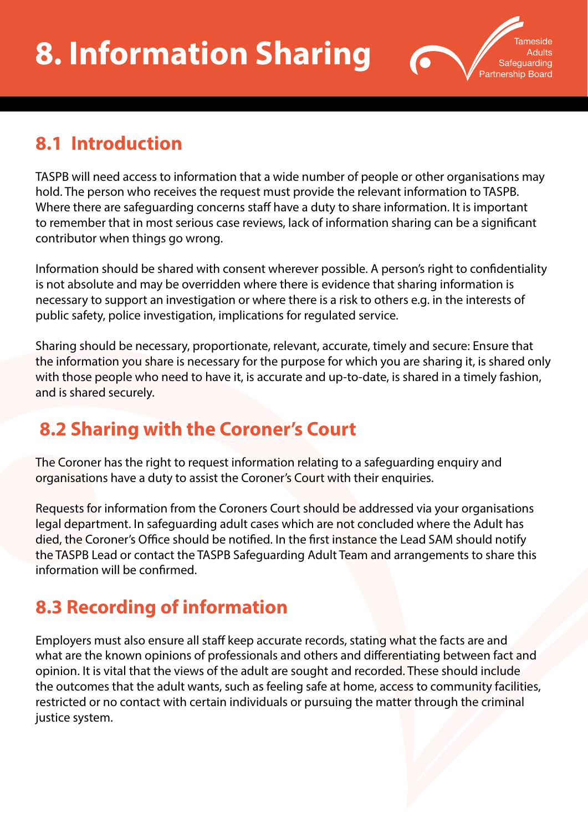

## **8.1 Introduction**

TASPB will need access to information that a wide number of people or other organisations may hold. The person who receives the request must provide the relevant information to TASPB. Where there are safeguarding concerns staff have a duty to share information. It is important to remember that in most serious case reviews, lack of information sharing can be a significant contributor when things go wrong.

Information should be shared with consent wherever possible. A person's right to confidentiality is not absolute and may be overridden where there is evidence that sharing information is necessary to support an investigation or where there is a risk to others e.g. in the interests of public safety, police investigation, implications for regulated service.

Sharing should be necessary, proportionate, relevant, accurate, timely and secure: Ensure that the information you share is necessary for the purpose for which you are sharing it, is shared only with those people who need to have it, is accurate and up-to-date, is shared in a timely fashion, and is shared securely.

## **8.2 Sharing with the Coroner's Court**

The Coroner has the right to request information relating to a safeguarding enquiry and organisations have a duty to assist the Coroner's Court with their enquiries.

Requests for information from the Coroners Court should be addressed via your organisations legal department. In safeguarding adult cases which are not concluded where the Adult has died, the Coroner's Office should be notified. In the first instance the Lead SAM should notify the TASPB Lead or contact the TASPB Safeguarding Adult Team and arrangements to share this information will be confirmed.

## **8.3 Recording of information**

Employers must also ensure all staff keep accurate records, stating what the facts are and what are the known opinions of professionals and others and differentiating between fact and opinion. It is vital that the views of the adult are sought and recorded. These should include the outcomes that the adult wants, such as feeling safe at home, access to community facilities, restricted or no contact with certain individuals or pursuing the matter through the criminal justice system.